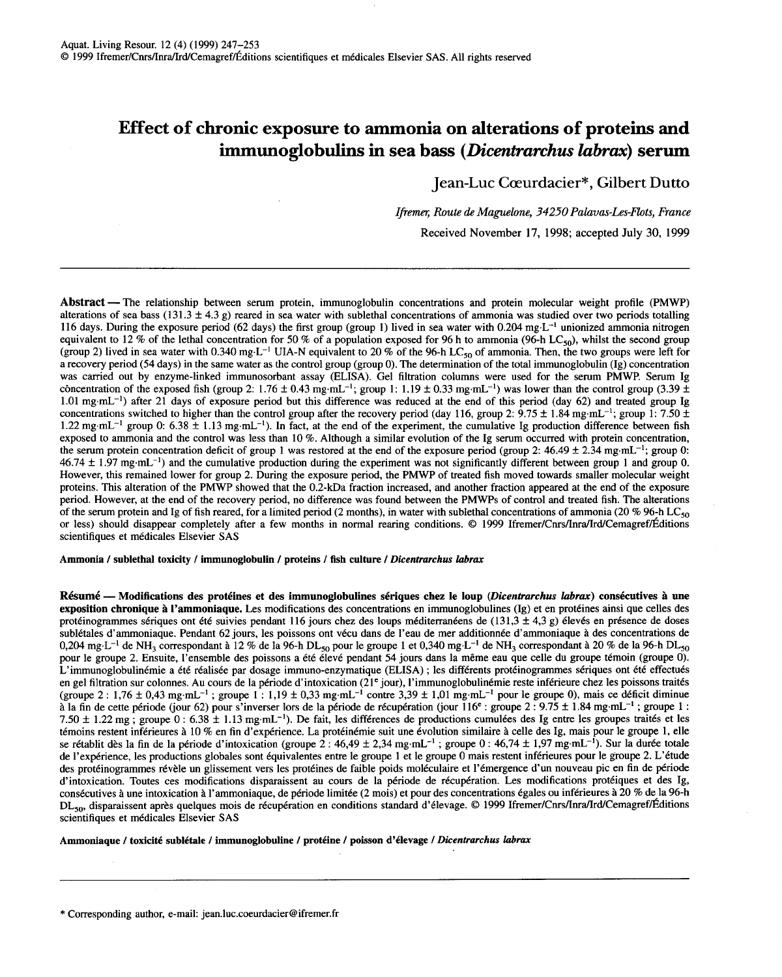# **Effect of chronic exposure to ammonia on alterations of proteins and immunoglobulins in sea bass** *(Dicentrarchus labrax)* **serum**

Jean-Luc Cœurdacier\*, Gilbert Dutto

*Ifremer, Route de Maguelone, 34250 Palavas-Les-Flots, France*  Received November 17, 1998; accepted July 30, 1999

Abstract - The relationship between serum protein, immunoglobulin concentrations and protein molecular weight profile (PMWP) alterations of sea bass (131.3  $\pm$  4.3 g) reared in sea water with sublethal concentrations of ammonia was studied over two periods totalling 116 days. During the exposure period (62 days) the first group (group 1) lived in sea water with 0.204 mg $L^{-1}$  unionized ammonia nitrogen equivalent to 12% of the lethal concentration for 50% of a population exposed for 96 h to ammonia (96-h LC<sub>50</sub>), whilst the second group (group 2) lived in sea water with 0.340 mg-L<sup>-1</sup> UIA-N equivalent to 20 % of the 96-h LC<sub>50</sub> of ammonia. Then, the two groups were left for a recovery period (54 days) in the same water as the control group (group 0). The determination of the total immunoglobulin (Ig) concentration was carried out by enzyme-linked immunosorbant assay (ELISA). Gel filtration columns were used for the serum PMWP. Serum Ig concentration of the exposed fish (group 2:  $1.76 \pm 0.43$  mg·mL<sup>-1</sup>; group 1:  $1.19 \pm 0.33$  mg·mL<sup>-1</sup>) was lower than the control group (3.39  $\pm$ 1.01 mg·mL<sup>-1</sup>) after 21 days of exposure period but this difference was reduced at the end of this period (day 62) and treated group Ig concentrations switched to higher than the control group after the recovery period (day 116, group 2:  $9.75 \pm 1.84$  mg·mL<sup>-1</sup>; group 1: 7.50  $\pm$ 1.22 mg·mL<sup>-1</sup> group 0: 6.38  $\pm$  1.13 mg·mL<sup>-1</sup>). In fact, at the end of the experiment, the cumulative Ig production difference between fish exposed to ammonia and the control was less than 10 %. Although a similar evolution of the Ig serum occurred with protein concentration, the serum protein concentration deficit of group 1 was restored at the end of the exposure period (group 2: 46.49  $\pm$  2.34 mg·mL<sup>-1</sup>; group 0:  $46.74 \pm 1.97$  mg·mL<sup>-1</sup>) and the cumulative production during the experiment was not significantly different between group 1 and group 0. However, this remained lower for group 2. During the exposure period, the PMWP of treated fish moved towards smaller molecular weight proteins. This alteration of the PMWP showed that the 0.2-kDa fraction increased, and another fraction appeared at the end of the exposure period. However, at the end of the recovery period, no difference was found between the PMWPs of control and treated fish. The alterations of the serum protein and Ig of fish reared, for a limited period (2 months), in water with sublethal concentrations of ammonia (20 % 96-h LC $_{50}$ or less) should disappear completely after a few months in normal rearing conditions. © 1999 Ifremer/Cnrs/Inra/Ird/Cemagref/Éditions scientifiques et médicales Elsevier SAS

Ammonia *1* sublethal toxicity *1* immunoglobulin *1* proteins *1* fish culture *1 Dicentrarchus labrax* 

Résumé -- Modifications des protéines et des immunoglobulines sériques chez le loup *(Dicentrarchus labrax)* consécutives à une exposition chronique à l'ammoniaque. Les modifications des concentrations en immunoglobulines (Ig) et en protéines ainsi que celles des protéinogrammes sériques ont été suivies pendant 116 jours chez des loups méditerranéens de (131,3 ± 4,3 g) élevés en présence de doses sublétales d'ammoniaque. Pendant 62 jours, les poissons ont vécu dans de l'eau de mer additionnée d'ammoniaque à des concentrations de 0,204 mg·L<sup>-1</sup> de NH<sub>3</sub> correspondant à 12 % de la 96-h DL<sub>50</sub> pour le groupe 1 et 0,340 mg·L<sup>-1</sup> de NH<sub>3</sub> correspondant à 20 % de la 96-h DL<sub>50</sub> pour le groupe 2. Ensuite, l'ensemble des poissons a été élevé pendant 54 jours dans la même eau que celle du groupe témoin (groupe 0). L'immunoglobulinémie a été réalisée par dosage immuno-enzymatique (ELISA) ; les différents protéinogrammes sériques ont été effectués en gel filtration sur colonnes. Au cours de la période d'intoxication (21<sup>e</sup> jour), l'immunoglobulinémie reste inférieure chez les poissons traités (groupe 2:  $1.76 \pm 0.43$  mg·mL<sup>-1</sup>; groupe 1:  $1.19 \pm 0.33$  mg·mL<sup>-1</sup> contre 3,39  $\pm 1.01$  mg·mL<sup>-1</sup> pour le groupe 0), mais ce déficit diminue à la fin de cette période (jour 62) pour s'inverser lors de la période de récupération (jour 116<sup>e</sup> : groupe 2 : 9.75 ± 1.84 mg·mL<sup>-1</sup> ; groupe 1 : 7.50  $\pm$  1.22 mg; groupe 0 : 6.38  $\pm$  1.13 mg·mL<sup>-1</sup>). De fait, les différences de productions cumulées des Ig entre les groupes traités et les témoins restent inférieures à 10 % en fin d'expérience. La protéinémie suit une évolution similaire à celle des Ig, mais pour le groupe 1, elle se rétablit dès la fin de la période d'intoxication (groupe 2 : 46,49 ± 2,34 mg·mL<sup>-1</sup> ; groupe 0 : 46,74 ± 1,97 mg·mL<sup>-1</sup>). Sur la durée totale de l'expérience, les productions globales sont équivalentes entre le groupe 1 et le groupe 0 mais restent inférieures pour le groupe 2. L'étude des protéinogrammes révèle un glissement vers les protéines de faible poids moléculaire et l'émergence d'un nouveau pic en fin de période d'intoxication. Toutes ces modifications disparaissent au cours de la période de récupération. Les modifications protéiques et des Ig, consécutives à une intoxication à l'ammoniaque, de période limitée (2 mois) et pour des concentrations égales ou inférieures à 20 % de la 96-h DL<sub>50</sub>, disparaissent après quelques mois de récupération en conditions standard d'élevage. © 1999 Ifremer/Cnrs/Inra/Ird/Cemagref/Éditions scientifiques et médicales Elsevier SAS

Ammoniaque *1* toxicité sublétale *1* immunoglobuline *1* protéine *1* poisson d'élevage *1 Dicentrarchus IIlbrax*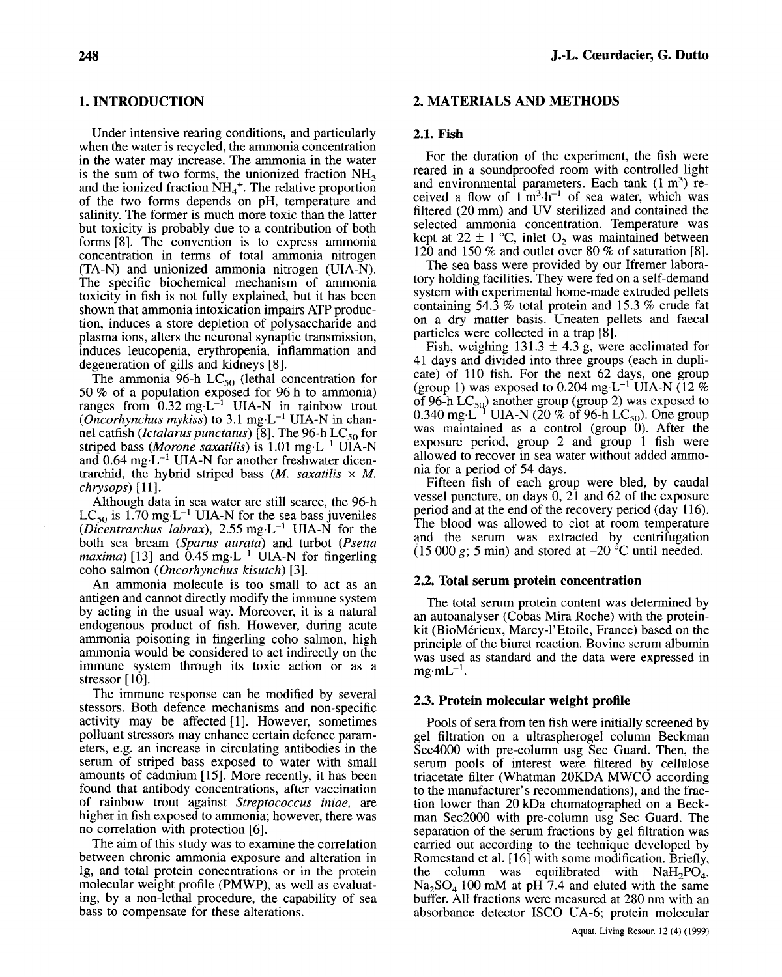# **1. INTRODUCTION**

Under intensive rearing conditions, and particularly when the water is recycled, the ammonia concentration in the water may increase. The ammonia in the water is the sum of two forms, the unionized fraction  $NH<sub>3</sub>$ and the ionized fraction  $NH_4^+$ . The relative proportion of the two forms depends on pH, temperature and salinity. The former is much more toxic than the latter but toxicity is probably due to a contribution of both forms [8]. The convention is to express ammonia concentration in terms of total ammonia nitrogen (TA-N) and unionized ammonia nitrogen (UIA-N). The specific biochemical mechanism of ammonia toxicity in fish is not fully explained, but it has been shown that ammonia intoxication impairs ATP production, induces a store depletion of polysaccharide and plasma ions, alters the neuronal synaptic transmission, induces leucopenia, erythropenia, inflammation and degeneration of gills and kidneys [8].

The ammonia 96-h  $LC_{50}$  (lethal concentration for 50 % of a population exposed for 96 h to ammonia) ranges from  $0.32 \text{ mg} \cdot L^{-1}$  UIA-N in rainbow trout *(Oncorhynchus mykiss)* to 3.1 mg $\text{L}^{-1}$  UIA-N in channel catfish *(Ictalarus punctatus)* [8]. The 96-h LC<sub>50</sub> for striped bass *(Morone saxatilis)* is 1.01 mg·L<sup>-1</sup> UIA-N and  $0.64 \text{ mg} \cdot L^{-1}$  UIA-N for another freshwater dicentrarchid, the hybrid striped bass  $(M.$  *saxatilis*  $\times$  *M*. *chrysops) [11].* 

Although data in sea water are still scarce, the 96-h  $LC_{50}$  is 1.70 mg·L<sup>-1</sup> UIA-N for the sea bass juveniles *(Dicentrarchus labrax),*  $2.55 \text{ mg} \cdot \text{L}^{-1}$  UIA-N for the both sea bream *(Sparus aurata)* and turbot *(Psetta maxima*) [13] and  $0.45$  mg·L<sup>-1</sup> UIA-N for fingerling coho salmon *(Oncorhynchus kisutch) [3].* 

An ammonia molecule is too small to act as an antigen and cannot directly modify the immune system by acting in the usual way. Moreover, it is a natural endogenous product of fish. However, during acute ammonia poisoning in fingerling coho salmon, high ammonia would be considered to act indirectly on the immune system through its toxic action or as a stressor [10].

The immune response can be modified by several stessors. Both defence mechanisms and non-specific activity may be affected [1]. However, sometimes polluant stressors may enhance certain defence parameters, e.g. an increase in circulating antibodies in the serum of striped bass exposed to water with small arnounts of cadmium [15]. More recently, it has been found that antibody concentrations, after vaccination of rainbow trout against *Streptococcus iniae,* are higher in fish exposed to ammonia; however, there was no correlation with protection [6].

The aim of this study was to examine the correlation between chronic ammonia exposure and alteration in Ig, and total protein concentrations or in the protein molecular weight profile (PMWP), as well as evaluating, by a non-Iethal procedure, the capability of sea bass to compensate for these alterations.

# **J.-L. Cœurdacier, G. Dutto**

## **2. MATERIALS AND METHODS**

## **2.1. Fish**

For the duration of the experiment, the fish were reared in a soundproofed room with controlled light and environmental parameters. Each tank  $(1 \text{ m}^3)$  received a flow of  $1 \text{ m}^3 \cdot h^{-1}$  of sea water, which was filtered (20 mm) and UV sterilized and contained the selected ammonia concentration. Temperature was kept at  $22 \pm 1$  °C, inlet O<sub>2</sub> was maintained between 120 and 150 % and outlet over 80 % of saturation [8].

The sea bass were provided by our Ifremer laboratory holding facilities. They were fed on a self-demand system with experimental home-made extruded pellets containing 54.3 % total protein and 15.3 % crude fat on a dry matter basis. Uneaten pellets and faecal particles were collected in a trap [8].

Fish, weighing  $131.3 \pm 4.3$  g, were acclimated for 41 days and divided into three groups (each in duplicate) of 110 fish. For the next 62 days, one group (group 1) was exposed to 0.204 mg·L<sup>-1</sup>UIA-N (12 %) of 96-h  $LC_{50}$ ) another group (group 2) was exposed to 0.340 mg·L<sup>-1</sup> UIA-N (20 % of 96-h LC<sub>50</sub>). One group was maintained as a control (group  $\overline{0}$ ). After the exposure period, group 2 and group 1 fish were allowed to recover in sea water without added ammonia for a period of 54 days.

Fifteen fish of each group were bled, by caudal vessel puncture, on days 0, 21 and 62 of the exposure period and at the end of the recovery period (day 116). The blood was allowed to clot at room temperature and the serum was extracted by centrifugation  $(15000 \text{ g}; 5 \text{ min})$  and stored at  $-20 \degree C$  until needed.

# **2.2. Total serum protein concentration**

The total serum protein content was determined by an autoanalyser (Cobas Mira Roche) with the proteinkit (BioMérieux, Marcy-l'Etoile, France) based on the principle of the biuret reaction. Bovine serum albumin was used as standard and the data were expressed in  $me·mL^{-1}$ .

# **2.3. Protein molecular weight profile**

Pools of sera from ten fish were initially screened by gel filtration on a ultraspherogel column Beckman Sec4000 with pre-column usg Sec Ouard. Then, the serum pools of interest were filtered by cellulose triacetate filter (Whatman 20KDA MWCO according to the manufacturer's recommendations), and the fraction lower than 20 kDa chomatographed on a Beckman Sec2000 with pre-column usg Sec Ouard. The separation of the serum fractions by gel filtration was carried out according to the technique developed by Romestand et al. [16] with some modification. Briefly, the column was equilibrated with  $NAH<sub>2</sub>PO<sub>4</sub>$ .  $Na<sub>2</sub>SO<sub>4</sub>$  100 mM at pH 7.4 and eluted with the same buffer. AlI fractions were measured at 280 nm with an absorbance detector ISCO UA-6; protein molecular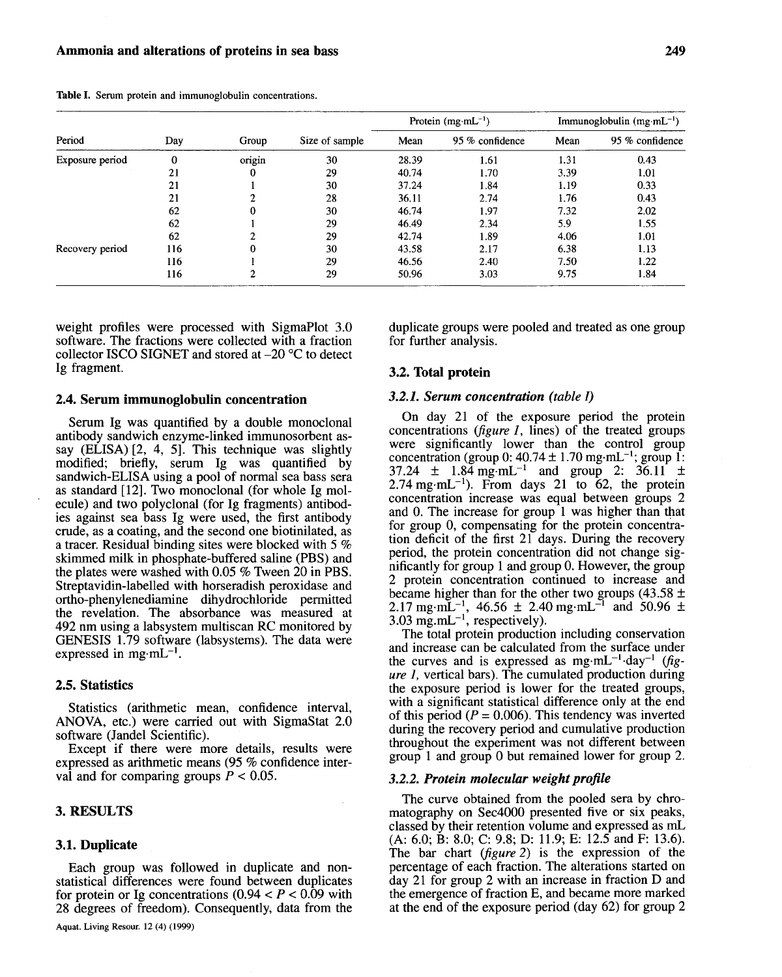Table I. Serum protein and immunoglobulin concentrations.

| Period          | Day | Group  | Size of sample | Protein $(mg·mL^{-1})$ |                 | Immunoglobulin $(mg \cdot mL^{-1})$ |                 |
|-----------------|-----|--------|----------------|------------------------|-----------------|-------------------------------------|-----------------|
|                 |     |        |                | Mean                   | 95 % confidence | Mean                                | 95 % confidence |
| Exposure period | 0   | origin | 30             | 28.39                  | 1.61            | 1.31                                | 0.43            |
|                 | 21  |        | 29             | 40.74                  | 1.70            | 3.39                                | 1.01            |
|                 | 21  |        | 30             | 37.24                  | 1.84            | 1.19                                | 0.33            |
|                 | 21  |        | 28             | 36.11                  | 2.74            | 1.76                                | 0.43            |
|                 | 62  |        | 30             | 46.74                  | 1.97            | 7.32                                | 2.02            |
|                 | 62  |        | 29             | 46.49                  | 2.34            | 5.9                                 | 1.55            |
|                 | 62  |        | 29             | 42.74                  | 1.89            | 4.06                                | 1.01            |
| Recovery period | 116 |        | 30             | 43.58                  | 2.17            | 6.38                                | 1.13            |
|                 | 116 |        | 29             | 46.56                  | 2.40            | 7.50                                | 1.22            |
|                 | 116 | 2      | 29             | 50.96                  | 3.03            | 9.75                                | 1.84            |

weight profiles were processed with SigmaPlot 3.0 software. The fractions were collected with a fraction collector ISCO SIGNET and stored at  $-20$  °C to detect Ig fragment.

## 2.4. Serum immunoglobulin concentration

Serum Ig was quantified by a double monoclonal antibody sandwich enzyme-linked immunosorbent assay  $(ELISA)$   $[2, 4, 5]$ . This technique was slightly modified; briefly, serum Ig was quantified by sandwich-ELISA using a pool of normal sea bass sera as standard [12]. Two monoclonal (for whole Ig mol ecule) and two polyclonal (for Ig fragments) antibodles agamst sea. bass Ig were used, the first antibody crude, as a coatmg, and the second one biotinilated, as a tracer. Residual binding sites were blocked with 5 % skimmed milk in phosphate-buffered saline (PBS) and the plates were washed with 0.05 % Tween 20 in PBS. Streptavidin-Iabelled with horseradish peroxidase and ortho-phenylenediamine dihydrochloride permitted the revelation. The absorbance was measured at 492 nm using a labsystem multiscan RC monitored by GENESIS 1.79 software (labsystems). The data were expressed in mg $\cdot$ mL<sup>-1</sup>.

# 2.5. Statistics

Statistics (arithmetic mean, confidence interval, ANOVA, etc.) were carried out with SigmaStat 2.0 software (Jandel Scientific).

Except if there were more details, results were expressed as arithmetic means (95 % confidence interval and for comparing groups  $P < 0.05$ .

## 3. RESULTS

#### 3.1. Duplicate

Each group was followed in duplicate and nonstatistical differences were found between duplicates for protein or Ig concentrations  $(0.94 < P < 0.09$  with 28 degrees of freedom). Consequently, data from the duplicate groups were pooled and treated as one group for further analysis.

## 3.2. Total protein

## *3.2.1. Serum concentration (table 1)*

On day 21 of the exposure period the protein concentrations *(figure* 1, lines) of the treated groups were significantly lower than the control group concentration (group 0:  $40.74 \pm 1.70$  mg·mL<sup>-1</sup>; group 1:  $37.24 \pm 1.84 \text{ mg} \cdot \text{mL}^{-1}$  and group 2:  $36.11 \pm 1.84 \text{ mg} \cdot \text{m}^{-1}$ 2.74 mg·mL<sup>-1</sup>). From days 21 to 62, the protein concentration increase was equal between groups 2 and O. The increase for group 1 was higher than that for group 0, compensating for the protein concentration deficit of the first  $21$  days. During the recovery period, the protein concentration did not change significantly for group 1 and group O. However, the group 2 protein concentration continued to increase and became higher than for the other two groups (43.58  $\pm$ 2.17 mg·m $\text{L}^{-1}$ , 46.56  $\pm$  2.40 mg·m $\text{L}^{-1}$  and 50.96  $\pm$  $3.03 \text{ mg.mL}^{-1}$ , respectively).

The total protein production including conservation and increase can be calculated from the surface under the curves and is expressed as  $mg \cdot mL^{-1} \cdot day^{-1}$  *(figure* 1, vertical bars). The cumulated production during the exposure period is lower for the treated groups, with a significant statistical difference only at the end of this period ( $P = 0.006$ ). This tendency was inverted during the recovery period and cumulative production throughout the experiment was not different between group 1 and group 0 but remained lower for group 2.

## *3.2.2. Protein molecular weight profile*

The curve obtained from the pooled sera by chromatography on Sec4000 presented five or six peaks, classed by their retention volume and expressed as mL (A: 6.0; B: 8.0; C: 9.8; D: 11.9; E: 12.5 and F: 13.6). The bar chart *(figure* 2) is the expression of the percentage of each fraction. The alterations started on day 21 for group 2 with an increase in fraction D and the emergence of fraction E, and became more marked at the end of the exposure period (day 62) for group 2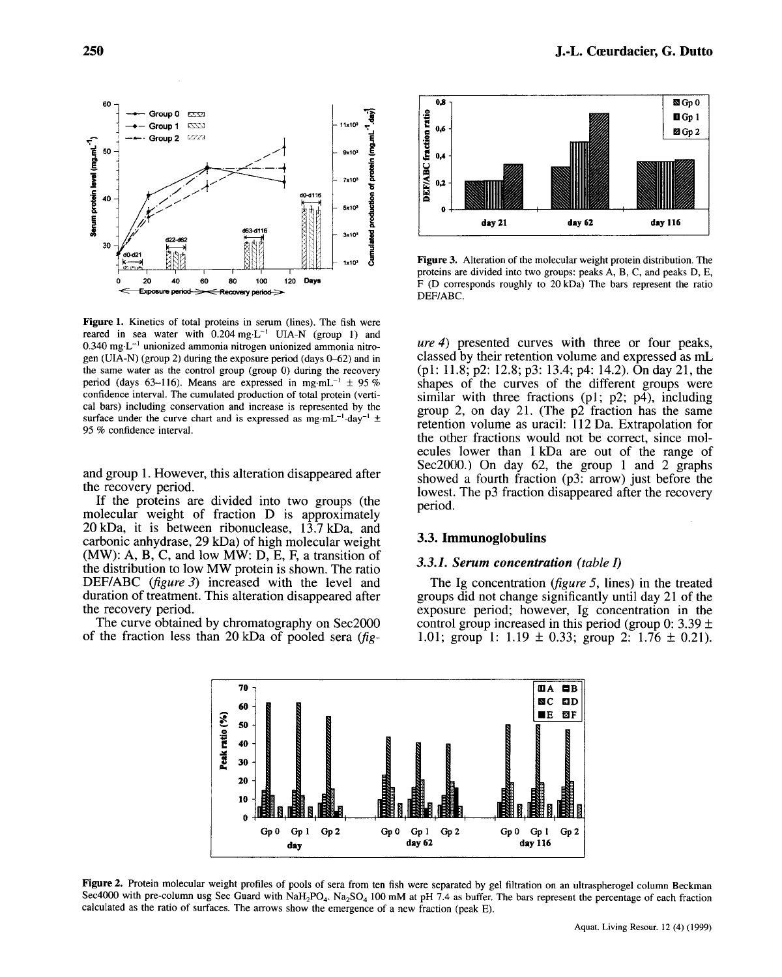$\begin{bmatrix} 60 \\ - \leftarrow \text{Group 0} \\ - \text{Group 1} \end{bmatrix}$   $\begin{bmatrix} 60 \\ + \leftarrow \text{Group 1} \\ - \text{Group 2} \end{bmatrix}$  $\frac{1}{2}$  = -origin  $\frac{1}{2}$  = -original  $\frac{1}{2}$  = -original  $\frac{1}{2}$  = -original  $\frac{1}{2}$  = -original  $\frac{1}{2}$  = -original  $\frac{1}{2}$  = -original  $\frac{1}{2}$  = -original  $\frac{1}{2}$  = -original  $\frac{1}{2}$  = -original  $\frac$  $\begin{array}{|c|c|c|c|c|c|c|c|c|} \hline \texttt{c} & \texttt{c} & \texttt{c} & \texttt{c} \\ \hline \texttt{c} & \texttt{c} & \texttt{c} & \texttt{c} & \texttt{c} \\ \hline \texttt{c} & \texttt{c} & \texttt{c} & \texttt{c} & \texttt{c} \\ \hline \texttt{c} & \texttt{c} & \texttt{c} & \texttt{c} & \texttt{c} & \texttt{c} \\ \hline \texttt{c} & \texttt{c} & \texttt{c} & \texttt{c} & \texttt{c} & \texttt{c$ }<br>}  $\frac{1}{2}$  c  $\frac{1}{2}$  c  $\frac{1}{2}$  c  $\frac{1}{2}$  c  $\frac{1}{2}$   $\frac{1}{2}$  c  $\frac{1}{2}$  c  $\frac{1}{2}$  c  $\frac{1}{2}$  c  $\frac{1}{2}$  c  $\frac{1}{2}$  c  $\frac{1}{2}$  c  $\frac{1}{2}$  c  $\frac{1}{2}$  c  $\frac{1}{2}$  c  $\frac{1}{2}$  c  $\frac{1}{2}$  c  $\frac{1}{2}$  c  $\frac{1}{2$  $\frac{1}{2}$   $\frac{1}{2}$   $\frac{1}{2}$   $\frac{1}{2}$   $\frac{1}{2}$   $\frac{1}{2}$   $\frac{1}{2}$   $\frac{1}{2}$   $\frac{1}{2}$   $\frac{1}{2}$   $\frac{1}{2}$   $\frac{1}{2}$   $\frac{1}{2}$   $\frac{1}{2}$   $\frac{1}{2}$   $\frac{1}{2}$   $\frac{1}{2}$   $\frac{1}{2}$   $\frac{1}{2}$   $\frac{1}{2}$   $\frac{1}{2}$   $\frac{1}{2}$   $10 - \frac{1}{40 - 42 - 462}$   $10 - \frac{1}{40 - 42 - 462}$   $10 - \frac{1}{40 - 42 - 462}$   $10 - \frac{1}{40 - 42 - 462}$  $\frac{1}{2}$   $\frac{1}{2}$   $\frac{1}{2}$   $\frac{1}{2}$   $\frac{1}{2}$   $\frac{1}{2}$   $\frac{1}{2}$   $\frac{1}{2}$   $\frac{1}{2}$   $\frac{1}{2}$   $\frac{1}{2}$   $\frac{1}{2}$   $\frac{1}{2}$   $\frac{1}{2}$   $\frac{1}{2}$   $\frac{1}{2}$   $\frac{1}{2}$   $\frac{1}{2}$   $\frac{1}{2}$   $\frac{1}{2}$   $\frac{1}{2}$   $\frac{1}{2}$   $\bar{\bar{s}}$  $\frac{1}{2}$   $\frac{1}{2}$   $\frac{1}{2}$   $\frac{1}{2}$   $\frac{1}{2}$   $\frac{1}{2}$   $\frac{1}{2}$   $\frac{1}{2}$   $\frac{1}{2}$   $\frac{1}{2}$   $\frac{1}{2}$   $\frac{1}{2}$   $\frac{1}{2}$   $\frac{1}{2}$   $\frac{1}{2}$   $\frac{1}{2}$   $\frac{1}{2}$   $\frac{1}{2}$   $\frac{1}{2}$   $\frac{1}{2}$   $\frac{1}{2}$   $\frac{1}{2}$  1 0 20 40 60 80 100 120 Days nerind ==

Figure 1. Kinetics of total proteins in serum (lines). The fish were reared in sea water with  $0.204 \text{ mg} \cdot \text{L}^{-1}$  UIA-N (group 1) and 0.340 mg-L-1 unionized ammonia nitrogen unionized ammonia nitrogen (UIA-N) (group 2) during the exposure period (days  $0-62$ ) and in the same water as the control group (group 0) during the recovery period (days 63-116). Means are expressed in mg·mL<sup>-1</sup>  $\pm$  95 % confidence interval. The cumulated production of total protein (vertical bars) incIuding conservation and increase is represented by the surface under the curve chart and is expressed as mg·mL<sup>-1</sup>·day<sup>-1</sup>  $\pm$ 95 % confidence interval.

and group 1. However, this alteration disappeared after the recovery period.

If the proteins are divided into two groups (the molecular weight of fraction D is approximately 20 kDa, it is between ribonuclease, 13.7 kDa, and carbonic anhydrase, 29 kDa) of high molecular weight  $(MW)$ : A, B, C, and low  $MW$ : D, E, F, a transition of the distribution to low MW protein is shown. The ratio DEF/ABC *(figure* 3) increased with the level and duration of treatment. This alteration disappeared after the recovery period.

The curve obtained by chromatography on Sec2000 of the fraction less than 20 kDa of pooled sera *(fig-*



Figure 3. Alteration of the molecular weight protein distribution. The proteins are divided into two groups: peaks A, B, C, and peaks D, E, F (D corresponds roughly to 20 kDa) The bars represent the ratio DEF/ABC.

*ure* 4) presented curves with three or four peaks, classed by their retention volume and expressed as mL (pl: 11.8; p2: 12.8; p3: 13.4; p4: 14.2). On day 21, the shapes of the curves of the different groups were similar with three fractions (p1;  $p2$ ;  $p4$ ), including group 2, on day 21. (The p2 fraction has the same retention volume as uracil: 112 Da. Extrapolation for the other fractions would not be correct, since molecules lower than 1 kDa are out of the range of Sec2000.) On day 62, the group 1 and 2 graphs showed a fourth fraction (p3: arrow) just before the lowest. The p3 fraction disappeared after the recovery period.

## 3.3. Immunoglobulins

#### *3.3.1. Serum concentration (table 1)*

The Ig concentration *(figure* 5, lines) in the treated groups did not change significantly until day 21 of the exposure period; however, Ig concentration in the control group increased in this period (group 0:  $3.39 \pm$ 1.01; group 1: 1.19  $\pm$  0.33; group 2: 1.76  $\pm$  0.21).



Figure 2. Protein molecular weight profiles of pools of sera from ten fish were separated by gel filtration on an ultraspherogel column Beckman Sec4000 with pre-column usg Sec Guard with NaH<sub>2</sub>PO<sub>4</sub>. Na<sub>2</sub>SO<sub>4</sub> 100 mM at pH 7.4 as buffer. The bars represent the percentage of each fraction caIculated as the ratio of surfaces. The arrows show the emergence of a new fraction (peak E).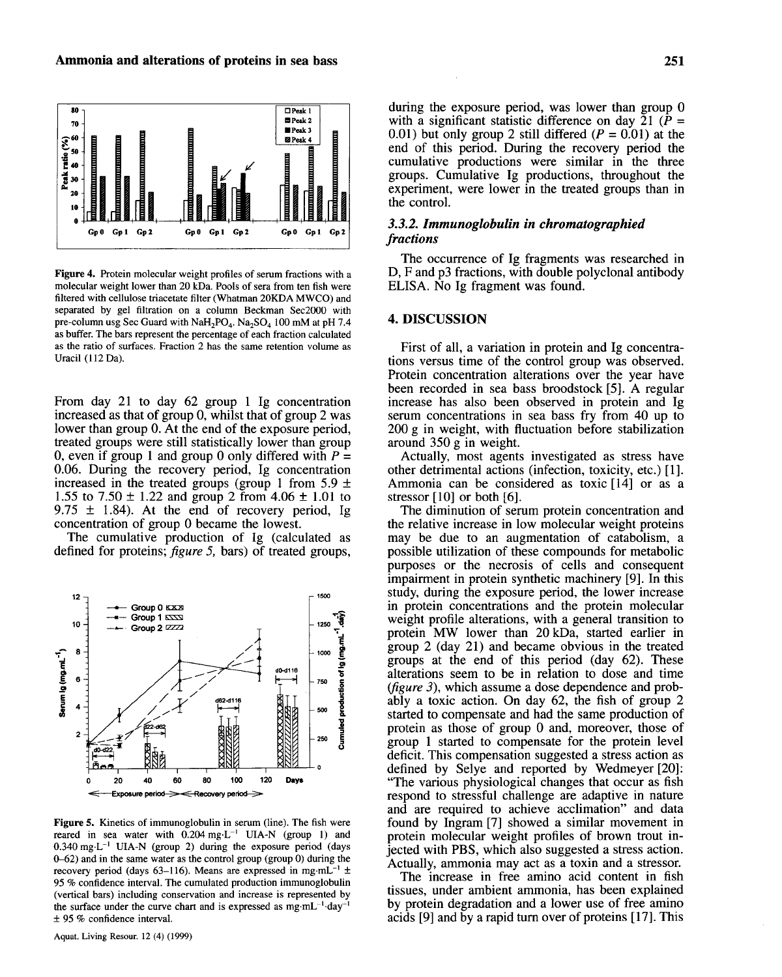

Figure 4. Protein molecular weight profiles of serum fractions with a molecular weight lower than 20 kDa. Pools of sera from ten fish were filtered with cellulose triacetate filter (Whatman 20KDA MWCO) and separated by gel filtration on a column Beckman Sec2000 with pre-column usg Sec Guard with NaH<sub>2</sub>PO<sub>4</sub>. Na<sub>2</sub>SO<sub>4</sub> 100 mM at pH 7.4 as buffer. The bars represent the percentage of each fraction calculated as the ratio of surfaces. Fraction 2 has the same retention volume as Uracil (112 Da).

From day 21 to day 62 group 1 Ig concentration increased as that of group 0, whilst that of group 2 was lower than group O. At the end of the exposure period, treated groups were still statistically lower than group 0, even if group 1 and group 0 only differed with  $P =$ 0.06. During the recovery period, Ig concentration increased in the treated groups (group 1 from 5.9  $\pm$ 1.55 to 7.50  $\pm$  1.22 and group 2 from 4.06  $\pm$  1.01 to 9.75  $\pm$  1.84). At the end of recovery period, Ig concentration of group 0 became the lowest.

The cumulative production of Ig (calculated as defined for proteins; *figure* 5, bars) of treated groups,



Figure 5. Kinetics of immunoglobulin in serum (line). The fish were reared in sea water with  $0.204$  mg·L<sup>-1</sup> UIA-N (group 1) and  $0.340$  mg·L<sup>-1</sup> UIA-N (group 2) during the exposure period (days  $0-62$ ) and in the same water as the control group (group 0) during the recovery period (days 63-116). Means are expressed in mg·mL<sup>-1</sup>  $\pm$ 95 % confidence interval. The cumulated production immunoglobulin (vertical bars) including conservation and increase is represented by the surface under the curve chart and is expressed as  $mg \cdot mL^{-1}$ ·day-± 95 % confidence interval.

during the exposure period, was lower than group 0 with a significant statistic difference on day 21 ( $P =$ 0.01) but only group 2 still differed  $(P = 0.01)$  at the end of this period. During the recovery period the cumulative productions were similar in the three groups. Cumulative Ig productions, throughout the experiment, were lower in the treated groups than in the control.

# *3.3.2. Immunoglobulin in chromatographied fractions*

The occurrence of Ig fragments was researched in D, F and p3 fractions, with double polyclonal antibody ELISA. No Ig fragment was found.

# 4. DISCUSSION

First of all, a variation in protein and Ig concentrations versus time of the control group was observed. Protein concentration alterations over the year have been recorded in sea bass broodstock [5]. A regular increase has also been observed in protein and Ig serum concentrations in sea bass fry from 40 up to 200 g in weight, with fluctuation before stabilization around 350 g in weight.

Actually, most agents investigated as stress have other detrimental actions (infection, toxicity, etc.) [1]. Ammonia can be considered as toxic [14] or as a stressor [10] or both [6].

The diminution of serum protein concentration and the relative increase in low molecular weight proteins may be due to an augmentation of catabolism, a possible utilization of these compounds for metabolic purposes or the necrosis of cells and consequent impairment in protein synthetic machinery [9]. In this study, during the exposure period, the lower increase in protein concentrations and the protein molecular weight profile alterations, with a general transition to protein MW lower than 20 kDa, started earlier in group 2 (day 21) and became obvious in the treated groups at the end of this period (day 62). These alterations seem to be in relation to dose and time *(figure* 3), which assume a dose dependence and probably a toxic action. On day 62, the fish of group 2 started to compensate and had the same production of protein as those of group 0 and, moreover, those of group 1 started to compensate for the protein level deficit. This compensation suggested a stress action as defined by Selye and reported by Wedmeyer [20]: "The various physiological changes that occur as fish respond to stressful challenge are adaptive in nature and are required to achieve acclimation" and data found by Ingram [7] showed a similar movement in protein molecular weight profiles of brown trout injected with PBS, which also suggested a stress action. Actually, ammonia may act as a toxin and a stressor.

The increase in free amino acid content in fish tissues, under ambient ammonia, has been explained by protein degradation and a lower use of free amino acids  $[9]$  and by a rapid turn over of proteins  $[17]$ . This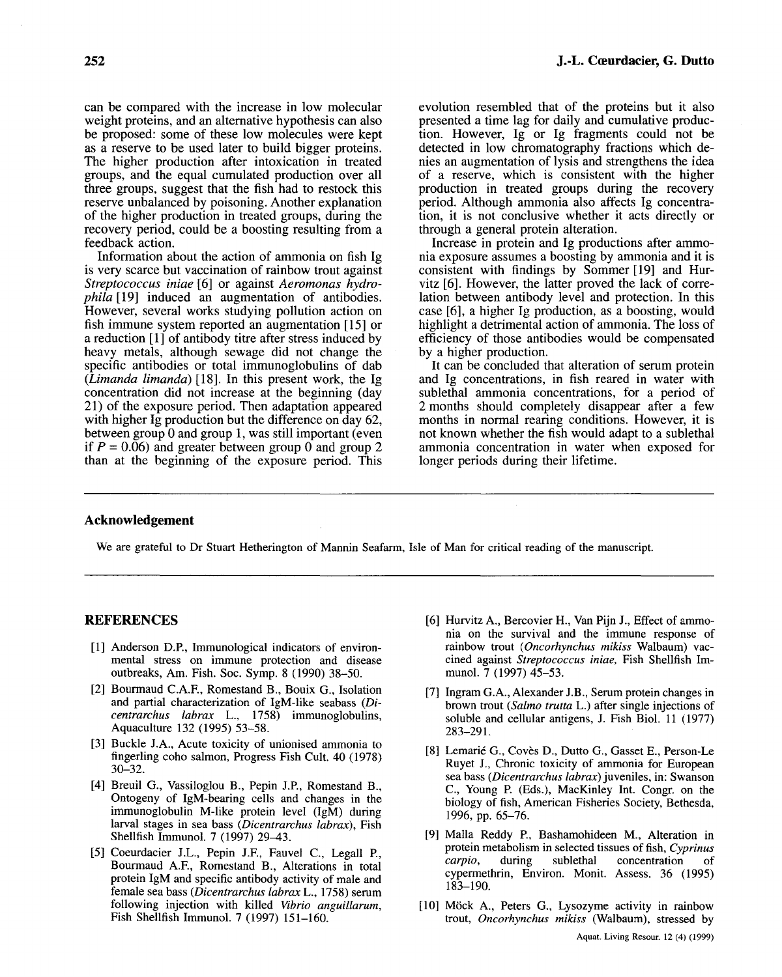can be compared with the increase in low molecular weight proteins, and an alternative hypothesis can also be proposed: some of these low molecules were kept as a reserve to be used later to build bigger proteins. The higher production after intoxication in treated groups, and the equal cumulated production over all three groups, suggest that the fish had to restock this reserve unbalanced by poisoning. Another explanation of the higher production in treated groups, during the recovery period, could be a boosting resulting from a feedback action.

Information about the action of ammonia on fish Ig is very scarce but vaccination of rainbow trout against *Streptococcus iniae* [6] or against *Aeromonas hydrophila* [19] induced an augmentation of antibodies. However, several works studying pollution action on fish immune system reported an augmentation [15] or a reduction [1] of antibody titre after stress induced by heavy metals, although sewage did not change the specific antibodies or total immunoglobulins of dab *(Limanda limanda)* [18]. In this present work, the Ig concentration did not increase at the beginning (day 21) of the exposure period. Then adaptation appeared with higher Ig production but the difference on day 62, between group 0 and group 1, was still important (even if  $P = 0.06$ ) and greater between group 0 and group 2 than at the beginning of the exposure period. This evolution resembled that of the proteins but it also presented a time lag for daily and cumulative production. However, Ig or Ig fragments could not be detected in low chromatography fractions which denies an augmentation of lysis and strengthens the idea of a reserve, which is consistent with the higher production in treated groups during the recovery period. Although ammonia also affects Ig concentration, it is not conclusive whether it acts directly or through a general protein alteration.

Increase in protein and Ig productions after ammonia exposure assumes a boosting by ammonia and it is consistent with findings by Sommer [19] and Hurvitz [6]. However, the latter proved the lack of correlation between antibody level and protection. In this case [6], a higher Ig production, as a boosting, would highlight a detrimental action of ammonia. The loss of efficiency of those antibodies would be compensated by a higher production.

It can be concluded that alteration of serum protein and Ig concentrations, in fish reared in water with sublethal ammonia concentrations, for a period of 2 months should completely disappear after a few months in normal rearing conditions. However, it is not known whether the fish would adapt to a sublethal ammonia concentration in water when exposed for longer periods during their lifetime.

## Acknowledgement

We are grateful to Dr Stuart Hetherington of Mannin Seafarm, Isle of Man for critical reading of the manuscript.

# REFERENCES

- [1] Anderson D.P., Immunological indicators of environmental stress on immune protection and disease outbreaks, Am. Fish. Soc. Symp. 8 (1990) 38-50.
- [2] Bourmaud C.A.F., Romestand B., Bouix *G.,* Isolation and partial characterization of IgM-like seabass (Di*centrarchus labrax* L., 1758) immunoglobulins, Aquaculture 132 (1995) 53-58.
- [3] Buckle J.A., Acute toxicity of unionised ammonia to fingerling coho salmon, Progress Fish Cult. 40 (1978) 30-32.
- [4] Breuil G., Vassiloglou B., Pepin J.P., Romestand B., Ontogeny of IgM-bearing cells and changes in the immunoglobulin M-like protein level (IgM) during larval stages in sea bass *(Dicentrarchus labrax),* Fish Shellfish Immunol. 7 (1997) 29-43.
- [5] Coeurdacier J.L., Pepin J.F., Fauvel C., Legall P., Bourmaud A.F., Romestand B., Alterations in total protein IgM and specific antibody activity of male and female sea bass *(Dicentrarchus labrax* L., 1758) serum following injection with killed *Vibrio anguillarum,*  Fish Shellfish Immunol. 7 (1997) 151-160.
- [6] Hurvitz A., Bercovier H., Van Pijn l, Effect of ammonia on the survival and the immune response of rainbow trout *(Oncorhynchus mikiss* Walbaum) vaccined against *Streptococcus iniae,* Fish Shellfish Immunol. 7 (1997) 45-53.
- [7] Ingram G.A., Alexander J.B., Serum protein changes in brown trout *(Salmo trutta* L.) after single injections of soluble and cellular antigens, J. Fish Biol. 11 (1977) 283-291.
- [8] Lemarié G., Covès D., Dutto G., Gasset E., Person-Le Ruyet J., Chronic toxicity of ammonia for European sea bass *(Dicentrarchus labrax)* juveniles, in: Swanson c., Young P. (Eds.), MacKinley Int. Congr. on the biology of fish, American Fisheries Society, Bethesda, 1996, pp. 65-76.
- [9] Malla Reddy P., Bashamohideen M., Alteration in protein metabolism in selected tissues of fish, *Cyprinus*  concentration of cypermethrin, Environ. Monit. Assess. 36 (1995) 183-190.
- [10] Môck A., Peters G., Lysozyme activity in rainbow trout, *Oncorhynchus mikiss* (Walbaum), stressed by